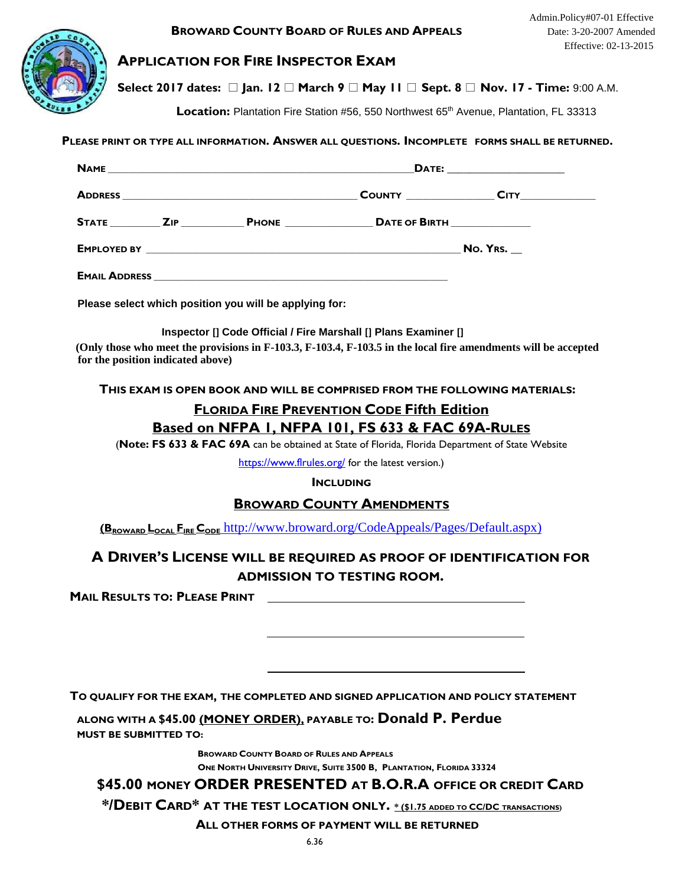

## **APPLICATION FOR FIRE INSPECTOR EXAM**

**Select 2017 dates: □ Jan. 12 □ March 9 □ May 11 □ Sept. 8 □ Nov. 17 - Time: 9:00 A.M.** 

**Location:** Plantation Fire Station #56, 550 Northwest 65<sup>th</sup> Avenue, Plantation, FL 33313

#### **PLEASE PRINT OR TYPE ALL INFORMATION. ANSWER ALL QUESTIONS. INCOMPLETE FORMS SHALL BE RETURNED.**

|                      |  |              | DATE: ________________________   |                    |  |
|----------------------|--|--------------|----------------------------------|--------------------|--|
|                      |  |              |                                  | <b>COUNTY</b> CITY |  |
| STATE ZIP            |  | <b>PHONE</b> | DATE OF BIRTH <b>SAMPLE 1999</b> |                    |  |
|                      |  |              | No. Yrs.                         |                    |  |
| <b>EMAIL ADDRESS</b> |  |              |                                  |                    |  |

**Please select which position you will be applying for:** 

**Inspector [] Code Official / Fire Marshall [] Plans Examiner []**

**(Only those who meet the provisions in F-103.3, F-103.4, F-103.5 in the local fire amendments will be accepted for the position indicated above)** 

**THIS EXAM IS OPEN BOOK AND WILL BE COMPRISED FROM THE FOLLOWING MATERIALS:** 

# **FLORIDA FIRE PREVENTION CODE Fifth Edition Based on NFPA 1, NFPA 101, FS 633 & FAC 69A-RULES**

(**Note: FS 633 & FAC 69A** can be obtained at State of Florida, Florida Department of State Website

https://www.flrules.org/ for the latest version.)

#### **INCLUDING**

### **BROWARD COUNTY AMENDMENTS**

**(BROWARD LOCAL FIRE CODE** http://www.broward.org/CodeAppeals/Pages/Default.aspx)

# **A DRIVER'S LICENSE WILL BE REQUIRED AS PROOF OF IDENTIFICATION FOR ADMISSION TO TESTING ROOM.**

**MAIL RESULTS TO: PLEASE PRINT** 

**TO QUALIFY FOR THE EXAM, THE COMPLETED AND SIGNED APPLICATION AND POLICY STATEMENT**

**ALONG WITH A \$45.00 (MONEY ORDER), PAYABLE TO: Donald P. Perdue MUST BE SUBMITTED TO:** 

> **BROWARD COUNTY BOARD OF RULES AND APPEALS ONE NORTH UNIVERSITY DRIVE, SUITE 3500 B, PLANTATION, FLORIDA 33324**

# **\$45.00 MONEY ORDER PRESENTED AT B.O.R.A OFFICE OR CREDIT CARD**

**\*/DEBIT CARD\* AT THE TEST LOCATION ONLY. \* (\$1.75 ADDED TO CC/DC TRANSACTIONS)**

**ALL OTHER FORMS OF PAYMENT WILL BE RETURNED**